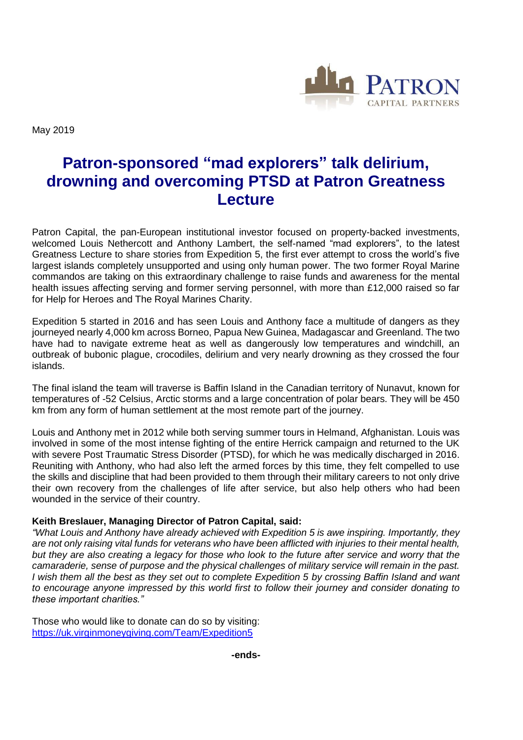

May 2019

# **Patron-sponsored "mad explorers" talk delirium, drowning and overcoming PTSD at Patron Greatness Lecture**

Patron Capital, the pan-European institutional investor focused on property-backed investments, welcomed Louis Nethercott and Anthony Lambert, the self-named "mad explorers", to the latest Greatness Lecture to share stories from Expedition 5, the first ever attempt to cross the world's five largest islands completely unsupported and using only human power. The two former Royal Marine commandos are taking on this extraordinary challenge to raise funds and awareness for the mental health issues affecting serving and former serving personnel, with more than £12,000 raised so far for Help for Heroes and The Royal Marines Charity.

Expedition 5 started in 2016 and has seen Louis and Anthony face a multitude of dangers as they journeyed nearly 4,000 km across Borneo, Papua New Guinea, Madagascar and Greenland. The two have had to navigate extreme heat as well as dangerously low temperatures and windchill, an outbreak of bubonic plague, crocodiles, delirium and very nearly drowning as they crossed the four islands.

The final island the team will traverse is Baffin Island in the Canadian territory of Nunavut, known for temperatures of -52 Celsius, Arctic storms and a large concentration of polar bears. They will be 450 km from any form of human settlement at the most remote part of the journey.

Louis and Anthony met in 2012 while both serving summer tours in Helmand, Afghanistan. Louis was involved in some of the most intense fighting of the entire Herrick campaign and returned to the UK with severe Post Traumatic Stress Disorder (PTSD), for which he was medically discharged in 2016. Reuniting with Anthony, who had also left the armed forces by this time, they felt compelled to use the skills and discipline that had been provided to them through their military careers to not only drive their own recovery from the challenges of life after service, but also help others who had been wounded in the service of their country.

## **Keith Breslauer, Managing Director of Patron Capital, said:**

*"What Louis and Anthony have already achieved with Expedition 5 is awe inspiring. Importantly, they are not only raising vital funds for veterans who have been afflicted with injuries to their mental health, but they are also creating a legacy for those who look to the future after service and worry that the camaraderie, sense of purpose and the physical challenges of military service will remain in the past. I wish them all the best as they set out to complete Expedition 5 by crossing Baffin Island and want to encourage anyone impressed by this world first to follow their journey and consider donating to these important charities."*

Those who would like to donate can do so by visiting: <https://uk.virginmoneygiving.com/Team/Expedition5>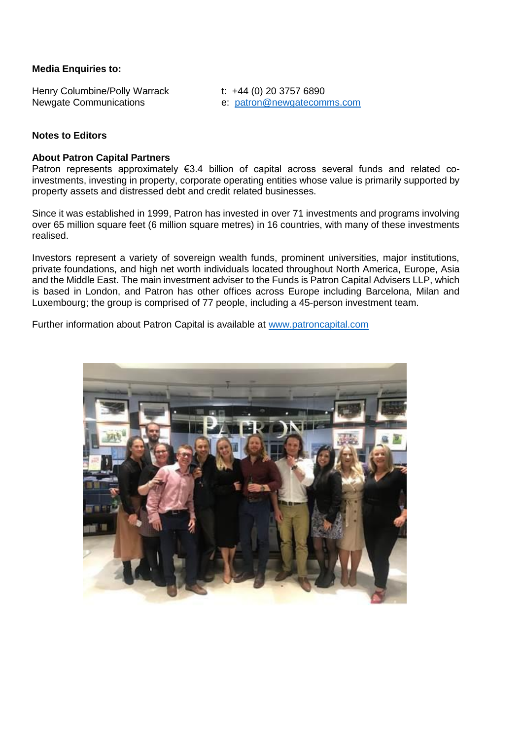### **Media Enquiries to:**

Henry Columbine/Polly Warrack t: +44 (0) 20 3757 6890

Newgate Communications e: [patron@newgatecomms.com](mailto:patron@newgatecomms.com) 

### **Notes to Editors**

#### **About Patron Capital Partners**

Patron represents approximately €3.4 billion of capital across several funds and related coinvestments, investing in property, corporate operating entities whose value is primarily supported by property assets and distressed debt and credit related businesses.

Since it was established in 1999, Patron has invested in over 71 investments and programs involving over 65 million square feet (6 million square metres) in 16 countries, with many of these investments realised.

Investors represent a variety of sovereign wealth funds, prominent universities, major institutions, private foundations, and high net worth individuals located throughout North America, Europe, Asia and the Middle East. The main investment adviser to the Funds is Patron Capital Advisers LLP, which is based in London, and Patron has other offices across Europe including Barcelona, Milan and Luxembourg; the group is comprised of 77 people, including a 45-person investment team.

Further information about Patron Capital is available at [www.patroncapital.com](http://www.patroncapital.com/)